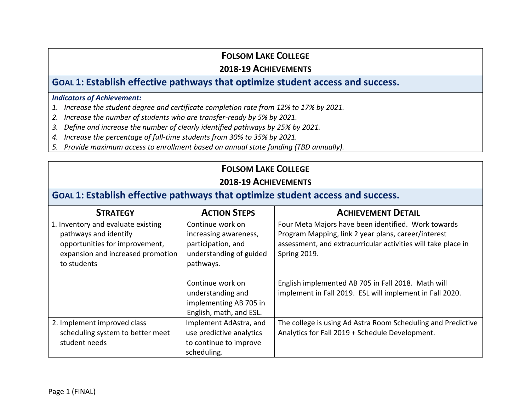#### **2018-19 ACHIEVEMENTS**

#### **GOAL 1: Establish effective pathways that optimize student access and success.**

#### *Indicators of Achievement:*

- *1. Increase the student degree and certificate completion rate from 12% to 17% by 2021.*
- *2. Increase the number of students who are transfer-ready by 5% by 2021.*
- *3. Define and increase the number of clearly identified pathways by 25% by 2021.*
- *4. Increase the percentage of full-time students from 30% to 35% by 2021.*
- *5. Provide maximum access to enrollment based on annual state funding (TBD annually).*

#### **FOLSOM LAKE COLLEGE**

#### **2018-19 ACHIEVEMENTS**

# **GOAL 1: Establish effective pathways that optimize student access and success.**

| <b>STRATEGY</b>                                                                                                                                   | <b>ACTION STEPS</b>                                                                                     | <b>ACHIEVEMENT DETAIL</b>                                                                                                                                                                          |
|---------------------------------------------------------------------------------------------------------------------------------------------------|---------------------------------------------------------------------------------------------------------|----------------------------------------------------------------------------------------------------------------------------------------------------------------------------------------------------|
| 1. Inventory and evaluate existing<br>pathways and identify<br>opportunities for improvement,<br>expansion and increased promotion<br>to students | Continue work on<br>increasing awareness,<br>participation, and<br>understanding of guided<br>pathways. | Four Meta Majors have been identified. Work towards<br>Program Mapping, link 2 year plans, career/interest<br>assessment, and extracurricular activities will take place in<br><b>Spring 2019.</b> |
|                                                                                                                                                   | Continue work on<br>understanding and<br>implementing AB 705 in<br>English, math, and ESL.              | English implemented AB 705 in Fall 2018. Math will<br>implement in Fall 2019. ESL will implement in Fall 2020.                                                                                     |
| 2. Implement improved class<br>scheduling system to better meet<br>student needs                                                                  | Implement AdAstra, and<br>use predictive analytics<br>to continue to improve<br>scheduling.             | The college is using Ad Astra Room Scheduling and Predictive<br>Analytics for Fall 2019 + Schedule Development.                                                                                    |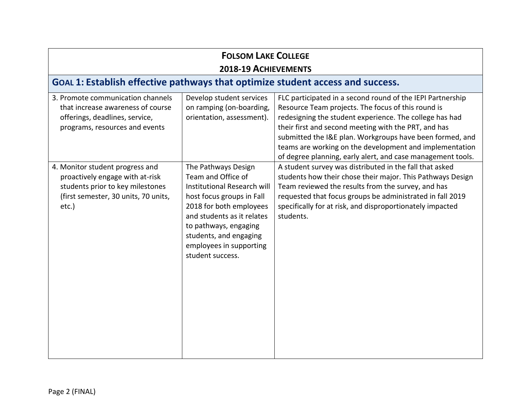| <b>FOLSOM LAKE COLLEGE</b>                                                                                                                              |                                                                                                                                                                                                                                                                  |                                                                                                                                                                                                                                                                                                                                                                                                                           |  |
|---------------------------------------------------------------------------------------------------------------------------------------------------------|------------------------------------------------------------------------------------------------------------------------------------------------------------------------------------------------------------------------------------------------------------------|---------------------------------------------------------------------------------------------------------------------------------------------------------------------------------------------------------------------------------------------------------------------------------------------------------------------------------------------------------------------------------------------------------------------------|--|
| 2018-19 ACHIEVEMENTS                                                                                                                                    |                                                                                                                                                                                                                                                                  |                                                                                                                                                                                                                                                                                                                                                                                                                           |  |
| GOAL 1: Establish effective pathways that optimize student access and success.                                                                          |                                                                                                                                                                                                                                                                  |                                                                                                                                                                                                                                                                                                                                                                                                                           |  |
| 3. Promote communication channels<br>that increase awareness of course<br>offerings, deadlines, service,<br>programs, resources and events              | Develop student services<br>on ramping (on-boarding,<br>orientation, assessment).                                                                                                                                                                                | FLC participated in a second round of the IEPI Partnership<br>Resource Team projects. The focus of this round is<br>redesigning the student experience. The college has had<br>their first and second meeting with the PRT, and has<br>submitted the I&E plan. Workgroups have been formed, and<br>teams are working on the development and implementation<br>of degree planning, early alert, and case management tools. |  |
| 4. Monitor student progress and<br>proactively engage with at-risk<br>students prior to key milestones<br>(first semester, 30 units, 70 units,<br>etc.) | The Pathways Design<br>Team and Office of<br>Institutional Research will<br>host focus groups in Fall<br>2018 for both employees<br>and students as it relates<br>to pathways, engaging<br>students, and engaging<br>employees in supporting<br>student success. | A student survey was distributed in the fall that asked<br>students how their chose their major. This Pathways Design<br>Team reviewed the results from the survey, and has<br>requested that focus groups be administrated in fall 2019<br>specifically for at risk, and disproportionately impacted<br>students.                                                                                                        |  |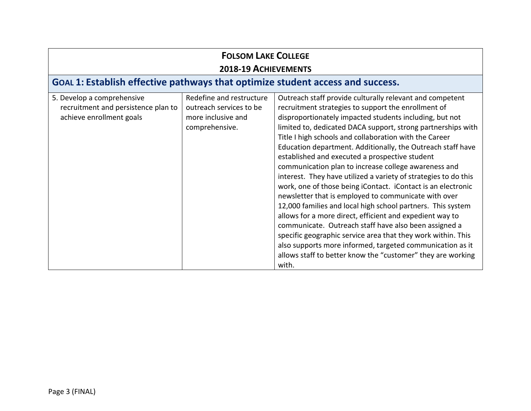| <b>FOLSOM LAKE COLLEGE</b><br>2018-19 ACHIEVEMENTS                                            |                                                                                             |                                                                                                                                                                                                                                                                                                                                                                                                                                                                                                                                                                                                                                                                                                                                                                                                                                                                                                                                                                                                                                                                   |  |
|-----------------------------------------------------------------------------------------------|---------------------------------------------------------------------------------------------|-------------------------------------------------------------------------------------------------------------------------------------------------------------------------------------------------------------------------------------------------------------------------------------------------------------------------------------------------------------------------------------------------------------------------------------------------------------------------------------------------------------------------------------------------------------------------------------------------------------------------------------------------------------------------------------------------------------------------------------------------------------------------------------------------------------------------------------------------------------------------------------------------------------------------------------------------------------------------------------------------------------------------------------------------------------------|--|
| GOAL 1: Establish effective pathways that optimize student access and success.                |                                                                                             |                                                                                                                                                                                                                                                                                                                                                                                                                                                                                                                                                                                                                                                                                                                                                                                                                                                                                                                                                                                                                                                                   |  |
| 5. Develop a comprehensive<br>recruitment and persistence plan to<br>achieve enrollment goals | Redefine and restructure<br>outreach services to be<br>more inclusive and<br>comprehensive. | Outreach staff provide culturally relevant and competent<br>recruitment strategies to support the enrollment of<br>disproportionately impacted students including, but not<br>limited to, dedicated DACA support, strong partnerships with<br>Title I high schools and collaboration with the Career<br>Education department. Additionally, the Outreach staff have<br>established and executed a prospective student<br>communication plan to increase college awareness and<br>interest. They have utilized a variety of strategies to do this<br>work, one of those being iContact. iContact is an electronic<br>newsletter that is employed to communicate with over<br>12,000 families and local high school partners. This system<br>allows for a more direct, efficient and expedient way to<br>communicate. Outreach staff have also been assigned a<br>specific geographic service area that they work within. This<br>also supports more informed, targeted communication as it<br>allows staff to better know the "customer" they are working<br>with. |  |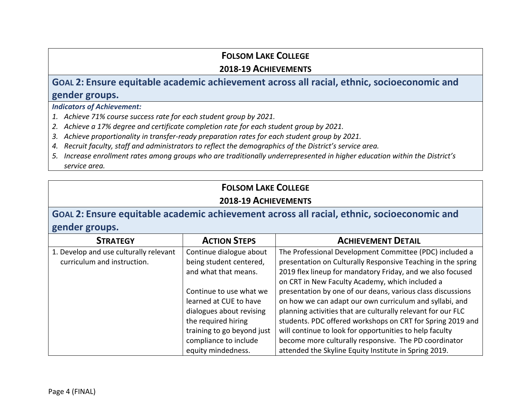#### **2018-19 ACHIEVEMENTS**

# **GOAL 2: Ensure equitable academic achievement across all racial, ethnic, socioeconomic and gender groups.**

*Indicators of Achievement:* 

- *1. Achieve 71% course success rate for each student group by 2021.*
- *2. Achieve a 17% degree and certificate completion rate for each student group by 2021.*
- *3. Achieve proportionality in transfer-ready preparation rates for each student group by 2021.*
- *4. Recruit faculty, staff and administrators to reflect the demographics of the District's service area.*
- *5. Increase enrollment rates among groups who are traditionally underrepresented in higher education within the District's service area.*

# **FOLSOM LAKE COLLEGE**

#### **2018-19 ACHIEVEMENTS**

# **GOAL 2: Ensure equitable academic achievement across all racial, ethnic, socioeconomic and gender groups.**

| <b>STRATEGY</b>                        | <b>ACTION STEPS</b>        | <b>ACHIEVEMENT DETAIL</b>                                    |
|----------------------------------------|----------------------------|--------------------------------------------------------------|
| 1. Develop and use culturally relevant | Continue dialogue about    | The Professional Development Committee (PDC) included a      |
| curriculum and instruction.            | being student centered,    | presentation on Culturally Responsive Teaching in the spring |
|                                        | and what that means.       | 2019 flex lineup for mandatory Friday, and we also focused   |
|                                        |                            | on CRT in New Faculty Academy, which included a              |
|                                        | Continue to use what we    | presentation by one of our deans, various class discussions  |
|                                        | learned at CUE to have     | on how we can adapt our own curriculum and syllabi, and      |
|                                        | dialogues about revising   | planning activities that are culturally relevant for our FLC |
|                                        | the required hiring        | students. PDC offered workshops on CRT for Spring 2019 and   |
|                                        | training to go beyond just | will continue to look for opportunities to help faculty      |
|                                        | compliance to include      | become more culturally responsive. The PD coordinator        |
|                                        | equity mindedness.         | attended the Skyline Equity Institute in Spring 2019.        |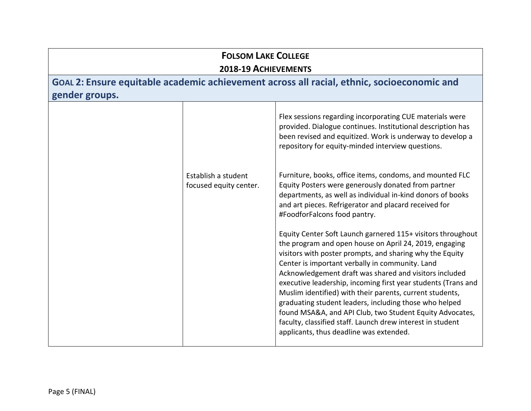## **FOLSOM LAKE COLLEGE 2018-19 ACHIEVEMENTS GOAL 2: Ensure equitable academic achievement across all racial, ethnic, socioeconomic and gender groups.** Establish a student focused equity center. Flex sessions regarding incorporating CUE materials were provided. Dialogue continues. Institutional description has been revised and equitized. Work is underway to develop a repository for equity-minded interview questions. Furniture, books, office items, condoms, and mounted FLC Equity Posters were generously donated from partner departments, as well as individual in-kind donors of books and art pieces. Refrigerator and placard received for #FoodforFalcons food pantry. Equity Center Soft Launch garnered 115+ visitors throughout the program and open house on April 24, 2019, engaging visitors with poster prompts, and sharing why the Equity Center is important verbally in community. Land Acknowledgement draft was shared and visitors included executive leadership, incoming first year students (Trans and Muslim identified) with their parents, current students, graduating student leaders, including those who helped found MSA&A, and API Club, two Student Equity Advocates, faculty, classified staff. Launch drew interest in student applicants, thus deadline was extended.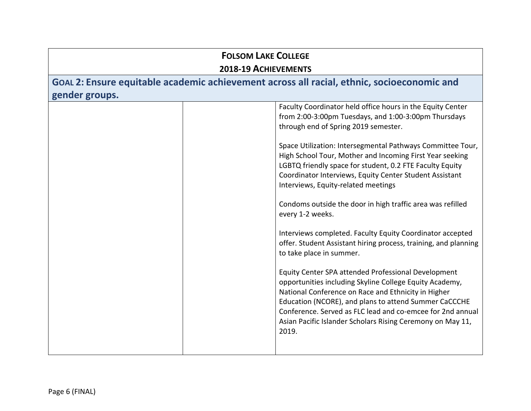| <b>FOLSOM LAKE COLLEGE</b><br>2018-19 ACHIEVEMENTS                                                           |                                                                                                                                                                                                                                                                                                                                                                                                                                                                                                                                                                                                                                                                                                                                                                                                                                                                                                                                                                                                                                                                         |  |
|--------------------------------------------------------------------------------------------------------------|-------------------------------------------------------------------------------------------------------------------------------------------------------------------------------------------------------------------------------------------------------------------------------------------------------------------------------------------------------------------------------------------------------------------------------------------------------------------------------------------------------------------------------------------------------------------------------------------------------------------------------------------------------------------------------------------------------------------------------------------------------------------------------------------------------------------------------------------------------------------------------------------------------------------------------------------------------------------------------------------------------------------------------------------------------------------------|--|
| GOAL 2: Ensure equitable academic achievement across all racial, ethnic, socioeconomic and<br>gender groups. |                                                                                                                                                                                                                                                                                                                                                                                                                                                                                                                                                                                                                                                                                                                                                                                                                                                                                                                                                                                                                                                                         |  |
|                                                                                                              | Faculty Coordinator held office hours in the Equity Center<br>from 2:00-3:00pm Tuesdays, and 1:00-3:00pm Thursdays<br>through end of Spring 2019 semester.<br>Space Utilization: Intersegmental Pathways Committee Tour,<br>High School Tour, Mother and Incoming First Year seeking<br>LGBTQ friendly space for student, 0.2 FTE Faculty Equity<br>Coordinator Interviews, Equity Center Student Assistant<br>Interviews, Equity-related meetings<br>Condoms outside the door in high traffic area was refilled<br>every 1-2 weeks.<br>Interviews completed. Faculty Equity Coordinator accepted<br>offer. Student Assistant hiring process, training, and planning<br>to take place in summer.<br>Equity Center SPA attended Professional Development<br>opportunities including Skyline College Equity Academy,<br>National Conference on Race and Ethnicity in Higher<br>Education (NCORE), and plans to attend Summer CaCCCHE<br>Conference. Served as FLC lead and co-emcee for 2nd annual<br>Asian Pacific Islander Scholars Rising Ceremony on May 11,<br>2019. |  |
|                                                                                                              |                                                                                                                                                                                                                                                                                                                                                                                                                                                                                                                                                                                                                                                                                                                                                                                                                                                                                                                                                                                                                                                                         |  |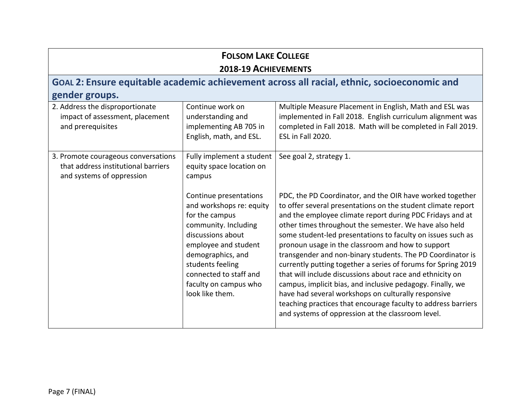## **2018-19 ACHIEVEMENTS**

# **GOAL 2: Ensure equitable academic achievement across all racial, ethnic, socioeconomic and gender groups.**

| 2. Address the disproportionate<br>impact of assessment, placement<br>and prerequisites                 | Continue work on<br>understanding and<br>implementing AB 705 in<br>English, math, and ESL.                                                                                                                                                               | Multiple Measure Placement in English, Math and ESL was<br>implemented in Fall 2018. English curriculum alignment was<br>completed in Fall 2018. Math will be completed in Fall 2019.<br>ESL in Fall 2020.                                                                                                                                                                                                                                                                                                                                                                                                                                                                                                                                                                                                  |
|---------------------------------------------------------------------------------------------------------|----------------------------------------------------------------------------------------------------------------------------------------------------------------------------------------------------------------------------------------------------------|-------------------------------------------------------------------------------------------------------------------------------------------------------------------------------------------------------------------------------------------------------------------------------------------------------------------------------------------------------------------------------------------------------------------------------------------------------------------------------------------------------------------------------------------------------------------------------------------------------------------------------------------------------------------------------------------------------------------------------------------------------------------------------------------------------------|
| 3. Promote courageous conversations<br>that address institutional barriers<br>and systems of oppression | Fully implement a student<br>equity space location on<br>campus                                                                                                                                                                                          | See goal 2, strategy 1.                                                                                                                                                                                                                                                                                                                                                                                                                                                                                                                                                                                                                                                                                                                                                                                     |
|                                                                                                         | Continue presentations<br>and workshops re: equity<br>for the campus<br>community. Including<br>discussions about<br>employee and student<br>demographics, and<br>students feeling<br>connected to staff and<br>faculty on campus who<br>look like them. | PDC, the PD Coordinator, and the OIR have worked together<br>to offer several presentations on the student climate report<br>and the employee climate report during PDC Fridays and at<br>other times throughout the semester. We have also held<br>some student-led presentations to faculty on issues such as<br>pronoun usage in the classroom and how to support<br>transgender and non-binary students. The PD Coordinator is<br>currently putting together a series of forums for Spring 2019<br>that will include discussions about race and ethnicity on<br>campus, implicit bias, and inclusive pedagogy. Finally, we<br>have had several workshops on culturally responsive<br>teaching practices that encourage faculty to address barriers<br>and systems of oppression at the classroom level. |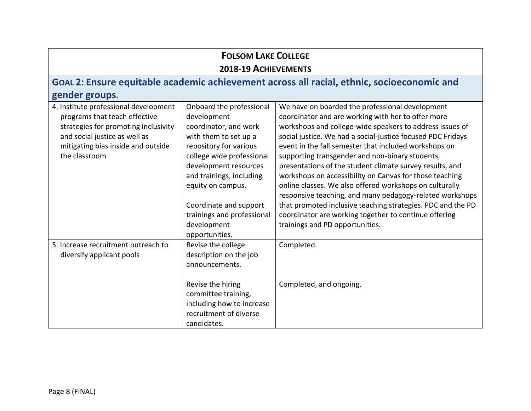#### **FOLSOM LAKE COLLEGE 2018-19 ACHIEVEMENTS GOAL 2: Ensure equitable academic achievement across all racial, ethnic, socioeconomic and gender groups.** 4. Institute professional development programs that teach effective strategies for promoting inclusivity and social justice as well as mitigating bias inside and outside the classroom Onboard the professional development coordinator, and work with them to set up a repository for various college wide professional development resources and trainings, including equity on campus. Coordinate and support trainings and professional development opportunities. We have on boarded the professional development coordinator and are working with her to offer more workshops and college-wide speakers to address issues of social justice. We had a social-justice focused PDC Fridays event in the fall semester that included workshops on supporting transgender and non-binary students, presentations of the student climate survey results, and workshops on accessibility on Canvas for those teaching online classes. We also offered workshops on culturally responsive teaching, and many pedagogy-related workshops that promoted inclusive teaching strategies. PDC and the PD coordinator are working together to continue offering trainings and PD opportunities. 5. Increase recruitment outreach to diversify applicant pools Revise the college description on the job announcements. Revise the hiring committee training, including how to increase recruitment of diverse candidates. Completed. Completed, and ongoing.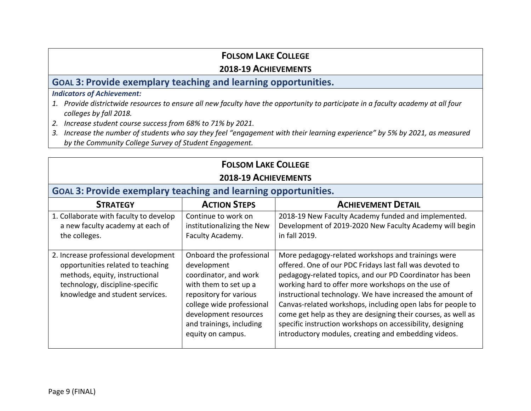#### **2018-19 ACHIEVEMENTS**

#### **GOAL 3: Provide exemplary teaching and learning opportunities.**

#### *Indicators of Achievement:*

- *1. Provide districtwide resources to ensure all new faculty have the opportunity to participate in a faculty academy at all four colleges by fall 2018.*
- *2. Increase student course success from 68% to 71% by 2021.*
- *3. Increase the number of students who say they feel "engagement with their learning experience" by 5% by 2021, as measured by the Community College Survey of Student Engagement.*

| <b>FOLSOM LAKE COLLEGE</b>                                                                                                                                                        |                                                                                                                                                                                                                            |                                                                                                                                                                                                                                                                                                                                                                                                                                                                                                                                                     |  |
|-----------------------------------------------------------------------------------------------------------------------------------------------------------------------------------|----------------------------------------------------------------------------------------------------------------------------------------------------------------------------------------------------------------------------|-----------------------------------------------------------------------------------------------------------------------------------------------------------------------------------------------------------------------------------------------------------------------------------------------------------------------------------------------------------------------------------------------------------------------------------------------------------------------------------------------------------------------------------------------------|--|
| 2018-19 ACHIEVEMENTS                                                                                                                                                              |                                                                                                                                                                                                                            |                                                                                                                                                                                                                                                                                                                                                                                                                                                                                                                                                     |  |
| <b>GOAL 3: Provide exemplary teaching and learning opportunities.</b>                                                                                                             |                                                                                                                                                                                                                            |                                                                                                                                                                                                                                                                                                                                                                                                                                                                                                                                                     |  |
| <b>ACTION STEPS</b><br><b>ACHIEVEMENT DETAIL</b><br><b>STRATEGY</b>                                                                                                               |                                                                                                                                                                                                                            |                                                                                                                                                                                                                                                                                                                                                                                                                                                                                                                                                     |  |
| 1. Collaborate with faculty to develop<br>a new faculty academy at each of<br>the colleges.                                                                                       | Continue to work on<br>institutionalizing the New<br>Faculty Academy.                                                                                                                                                      | 2018-19 New Faculty Academy funded and implemented.<br>Development of 2019-2020 New Faculty Academy will begin<br>in fall 2019.                                                                                                                                                                                                                                                                                                                                                                                                                     |  |
| 2. Increase professional development<br>opportunities related to teaching<br>methods, equity, instructional<br>technology, discipline-specific<br>knowledge and student services. | Onboard the professional<br>development<br>coordinator, and work<br>with them to set up a<br>repository for various<br>college wide professional<br>development resources<br>and trainings, including<br>equity on campus. | More pedagogy-related workshops and trainings were<br>offered. One of our PDC Fridays last fall was devoted to<br>pedagogy-related topics, and our PD Coordinator has been<br>working hard to offer more workshops on the use of<br>instructional technology. We have increased the amount of<br>Canvas-related workshops, including open labs for people to<br>come get help as they are designing their courses, as well as<br>specific instruction workshops on accessibility, designing<br>introductory modules, creating and embedding videos. |  |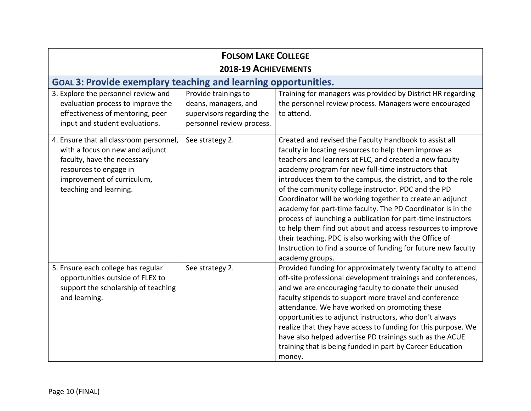| <b>FOLSOM LAKE COLLEGE</b>                                                                                                                                                                  |                                                                                                        |                                                                                                                                                                                                                                                                                                                                                                                                                                                                                                                                                                                                                                                                                                                                                                   |
|---------------------------------------------------------------------------------------------------------------------------------------------------------------------------------------------|--------------------------------------------------------------------------------------------------------|-------------------------------------------------------------------------------------------------------------------------------------------------------------------------------------------------------------------------------------------------------------------------------------------------------------------------------------------------------------------------------------------------------------------------------------------------------------------------------------------------------------------------------------------------------------------------------------------------------------------------------------------------------------------------------------------------------------------------------------------------------------------|
| 2018-19 ACHIEVEMENTS                                                                                                                                                                        |                                                                                                        |                                                                                                                                                                                                                                                                                                                                                                                                                                                                                                                                                                                                                                                                                                                                                                   |
| <b>GOAL 3: Provide exemplary teaching and learning opportunities.</b>                                                                                                                       |                                                                                                        |                                                                                                                                                                                                                                                                                                                                                                                                                                                                                                                                                                                                                                                                                                                                                                   |
| 3. Explore the personnel review and<br>evaluation process to improve the<br>effectiveness of mentoring, peer<br>input and student evaluations.                                              | Provide trainings to<br>deans, managers, and<br>supervisors regarding the<br>personnel review process. | Training for managers was provided by District HR regarding<br>the personnel review process. Managers were encouraged<br>to attend.                                                                                                                                                                                                                                                                                                                                                                                                                                                                                                                                                                                                                               |
| 4. Ensure that all classroom personnel,<br>with a focus on new and adjunct<br>faculty, have the necessary<br>resources to engage in<br>improvement of curriculum,<br>teaching and learning. | See strategy 2.                                                                                        | Created and revised the Faculty Handbook to assist all<br>faculty in locating resources to help them improve as<br>teachers and learners at FLC, and created a new faculty<br>academy program for new full-time instructors that<br>introduces them to the campus, the district, and to the role<br>of the community college instructor. PDC and the PD<br>Coordinator will be working together to create an adjunct<br>academy for part-time faculty. The PD Coordinator is in the<br>process of launching a publication for part-time instructors<br>to help them find out about and access resources to improve<br>their teaching. PDC is also working with the Office of<br>Instruction to find a source of funding for future new faculty<br>academy groups. |
| 5. Ensure each college has regular<br>opportunities outside of FLEX to<br>support the scholarship of teaching<br>and learning.                                                              | See strategy 2.                                                                                        | Provided funding for approximately twenty faculty to attend<br>off-site professional development trainings and conferences,<br>and we are encouraging faculty to donate their unused<br>faculty stipends to support more travel and conference<br>attendance. We have worked on promoting these<br>opportunities to adjunct instructors, who don't always<br>realize that they have access to funding for this purpose. We<br>have also helped advertise PD trainings such as the ACUE<br>training that is being funded in part by Career Education<br>money.                                                                                                                                                                                                     |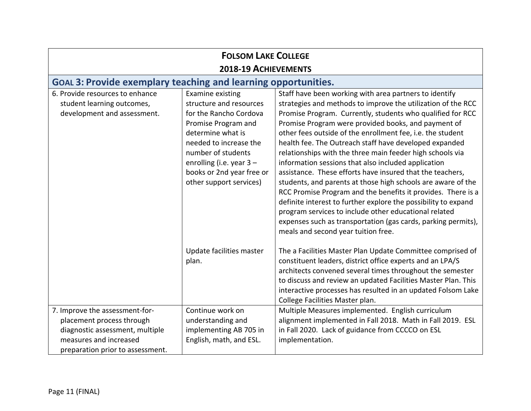| <b>FOLSOM LAKE COLLEGE</b>                                                                                                                                   |                                                                                                                                                                                                                                                              |                                                                                                                                                                                                                                                                                                                                                                                                                                                                                                                                                                                                                                                                                                                                                                                                                                                                                                                         |
|--------------------------------------------------------------------------------------------------------------------------------------------------------------|--------------------------------------------------------------------------------------------------------------------------------------------------------------------------------------------------------------------------------------------------------------|-------------------------------------------------------------------------------------------------------------------------------------------------------------------------------------------------------------------------------------------------------------------------------------------------------------------------------------------------------------------------------------------------------------------------------------------------------------------------------------------------------------------------------------------------------------------------------------------------------------------------------------------------------------------------------------------------------------------------------------------------------------------------------------------------------------------------------------------------------------------------------------------------------------------------|
| 2018-19 ACHIEVEMENTS                                                                                                                                         |                                                                                                                                                                                                                                                              |                                                                                                                                                                                                                                                                                                                                                                                                                                                                                                                                                                                                                                                                                                                                                                                                                                                                                                                         |
| <b>GOAL 3: Provide exemplary teaching and learning opportunities.</b>                                                                                        |                                                                                                                                                                                                                                                              |                                                                                                                                                                                                                                                                                                                                                                                                                                                                                                                                                                                                                                                                                                                                                                                                                                                                                                                         |
| 6. Provide resources to enhance<br>student learning outcomes,<br>development and assessment.                                                                 | <b>Examine existing</b><br>structure and resources<br>for the Rancho Cordova<br>Promise Program and<br>determine what is<br>needed to increase the<br>number of students<br>enrolling (i.e. year 3 -<br>books or 2nd year free or<br>other support services) | Staff have been working with area partners to identify<br>strategies and methods to improve the utilization of the RCC<br>Promise Program. Currently, students who qualified for RCC<br>Promise Program were provided books, and payment of<br>other fees outside of the enrollment fee, i.e. the student<br>health fee. The Outreach staff have developed expanded<br>relationships with the three main feeder high schools via<br>information sessions that also included application<br>assistance. These efforts have insured that the teachers,<br>students, and parents at those high schools are aware of the<br>RCC Promise Program and the benefits it provides. There is a<br>definite interest to further explore the possibility to expand<br>program services to include other educational related<br>expenses such as transportation (gas cards, parking permits),<br>meals and second year tuition free. |
|                                                                                                                                                              | Update facilities master<br>plan.                                                                                                                                                                                                                            | The a Facilities Master Plan Update Committee comprised of<br>constituent leaders, district office experts and an LPA/S<br>architects convened several times throughout the semester<br>to discuss and review an updated Facilities Master Plan. This<br>interactive processes has resulted in an updated Folsom Lake<br>College Facilities Master plan.                                                                                                                                                                                                                                                                                                                                                                                                                                                                                                                                                                |
| 7. Improve the assessment-for-<br>placement process through<br>diagnostic assessment, multiple<br>measures and increased<br>preparation prior to assessment. | Continue work on<br>understanding and<br>implementing AB 705 in<br>English, math, and ESL.                                                                                                                                                                   | Multiple Measures implemented. English curriculum<br>alignment implemented in Fall 2018. Math in Fall 2019. ESL<br>in Fall 2020. Lack of guidance from CCCCO on ESL<br>implementation.                                                                                                                                                                                                                                                                                                                                                                                                                                                                                                                                                                                                                                                                                                                                  |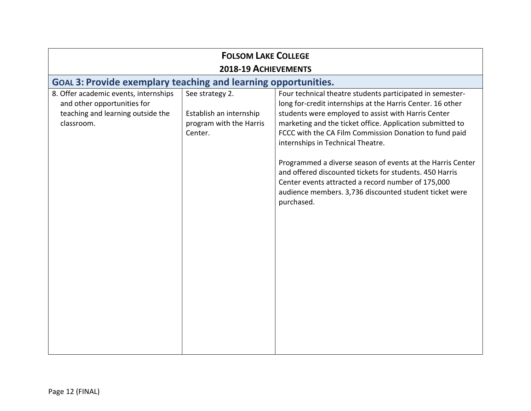| <b>FOLSOM LAKE COLLEGE</b>                                                                                              |                                                                                  |                                                                                                                                                                                                                                                                                                                                                                                                                                                                                                                                                                                                   |  |
|-------------------------------------------------------------------------------------------------------------------------|----------------------------------------------------------------------------------|---------------------------------------------------------------------------------------------------------------------------------------------------------------------------------------------------------------------------------------------------------------------------------------------------------------------------------------------------------------------------------------------------------------------------------------------------------------------------------------------------------------------------------------------------------------------------------------------------|--|
| 2018-19 ACHIEVEMENTS                                                                                                    |                                                                                  |                                                                                                                                                                                                                                                                                                                                                                                                                                                                                                                                                                                                   |  |
| <b>GOAL 3: Provide exemplary teaching and learning opportunities.</b>                                                   |                                                                                  |                                                                                                                                                                                                                                                                                                                                                                                                                                                                                                                                                                                                   |  |
| 8. Offer academic events, internships<br>and other opportunities for<br>teaching and learning outside the<br>classroom. | See strategy 2.<br>Establish an internship<br>program with the Harris<br>Center. | Four technical theatre students participated in semester-<br>long for-credit internships at the Harris Center. 16 other<br>students were employed to assist with Harris Center<br>marketing and the ticket office. Application submitted to<br>FCCC with the CA Film Commission Donation to fund paid<br>internships in Technical Theatre.<br>Programmed a diverse season of events at the Harris Center<br>and offered discounted tickets for students. 450 Harris<br>Center events attracted a record number of 175,000<br>audience members. 3,736 discounted student ticket were<br>purchased. |  |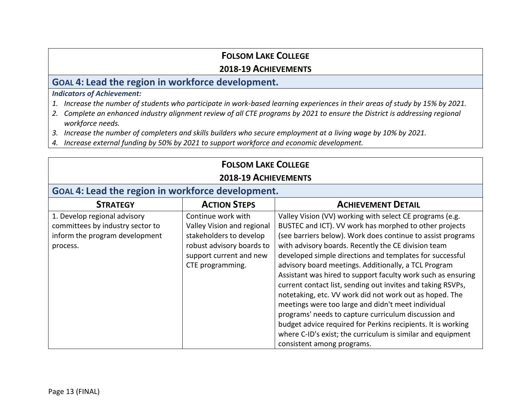#### **2018-19 ACHIEVEMENTS**

#### **GOAL 4: Lead the region in workforce development.**

#### *Indicators of Achievement:*

- *1. Increase the number of students who participate in work-based learning experiences in their areas of study by 15% by 2021.*
- *2. Complete an enhanced industry alignment review of all CTE programs by 2021 to ensure the District is addressing regional workforce needs.*
- *3. Increase the number of completers and skills builders who secure employment at a living wage by 10% by 2021.*
- *4. Increase external funding by 50% by 2021 to support workforce and economic development.*

# **FOLSOM LAKE COLLEGE**

#### **2018-19 ACHIEVEMENTS**

## **GOAL 4: Lead the region in workforce development.**

| <b>STRATEGY</b>                  | <b>ACTION STEPS</b>        | <b>ACHIEVEMENT DETAIL</b>                                    |
|----------------------------------|----------------------------|--------------------------------------------------------------|
| 1. Develop regional advisory     | Continue work with         | Valley Vision (VV) working with select CE programs (e.g.     |
| committees by industry sector to | Valley Vision and regional | BUSTEC and ICT). VV work has morphed to other projects       |
| inform the program development   | stakeholders to develop    | (see barriers below). Work does continue to assist programs  |
| process.                         | robust advisory boards to  | with advisory boards. Recently the CE division team          |
|                                  | support current and new    | developed simple directions and templates for successful     |
|                                  | CTE programming.           | advisory board meetings. Additionally, a TCL Program         |
|                                  |                            | Assistant was hired to support faculty work such as ensuring |
|                                  |                            | current contact list, sending out invites and taking RSVPs,  |
|                                  |                            | notetaking, etc. VV work did not work out as hoped. The      |
|                                  |                            | meetings were too large and didn't meet individual           |
|                                  |                            | programs' needs to capture curriculum discussion and         |
|                                  |                            | budget advice required for Perkins recipients. It is working |
|                                  |                            | where C-ID's exist; the curriculum is similar and equipment  |
|                                  |                            | consistent among programs.                                   |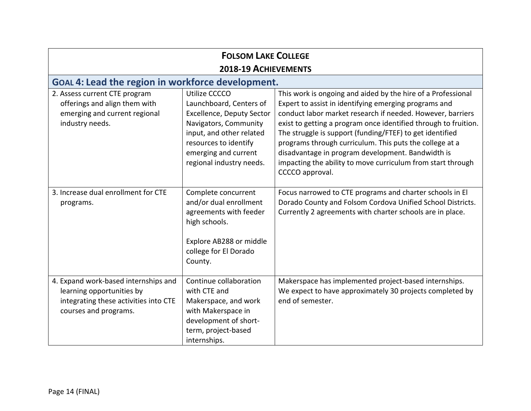| <b>FOLSOM LAKE COLLEGE</b>                                                                                                          |                                                                                                                                                                                                                |                                                                                                                                                                                                                                                                                                                                                                                                                                                                                                                      |
|-------------------------------------------------------------------------------------------------------------------------------------|----------------------------------------------------------------------------------------------------------------------------------------------------------------------------------------------------------------|----------------------------------------------------------------------------------------------------------------------------------------------------------------------------------------------------------------------------------------------------------------------------------------------------------------------------------------------------------------------------------------------------------------------------------------------------------------------------------------------------------------------|
| 2018-19 ACHIEVEMENTS                                                                                                                |                                                                                                                                                                                                                |                                                                                                                                                                                                                                                                                                                                                                                                                                                                                                                      |
| <b>GOAL 4: Lead the region in workforce development.</b>                                                                            |                                                                                                                                                                                                                |                                                                                                                                                                                                                                                                                                                                                                                                                                                                                                                      |
| 2. Assess current CTE program<br>offerings and align them with<br>emerging and current regional<br>industry needs.                  | Utilize CCCCO<br>Launchboard, Centers of<br><b>Excellence, Deputy Sector</b><br>Navigators, Community<br>input, and other related<br>resources to identify<br>emerging and current<br>regional industry needs. | This work is ongoing and aided by the hire of a Professional<br>Expert to assist in identifying emerging programs and<br>conduct labor market research if needed. However, barriers<br>exist to getting a program once identified through to fruition.<br>The struggle is support (funding/FTEF) to get identified<br>programs through curriculum. This puts the college at a<br>disadvantage in program development. Bandwidth is<br>impacting the ability to move curriculum from start through<br>CCCCO approval. |
| 3. Increase dual enrollment for CTE<br>programs.                                                                                    | Complete concurrent<br>and/or dual enrollment<br>agreements with feeder<br>high schools.<br>Explore AB288 or middle<br>college for El Dorado<br>County.                                                        | Focus narrowed to CTE programs and charter schools in El<br>Dorado County and Folsom Cordova Unified School Districts.<br>Currently 2 agreements with charter schools are in place.                                                                                                                                                                                                                                                                                                                                  |
| 4. Expand work-based internships and<br>learning opportunities by<br>integrating these activities into CTE<br>courses and programs. | Continue collaboration<br>with CTE and<br>Makerspace, and work<br>with Makerspace in<br>development of short-<br>term, project-based<br>internships.                                                           | Makerspace has implemented project-based internships.<br>We expect to have approximately 30 projects completed by<br>end of semester.                                                                                                                                                                                                                                                                                                                                                                                |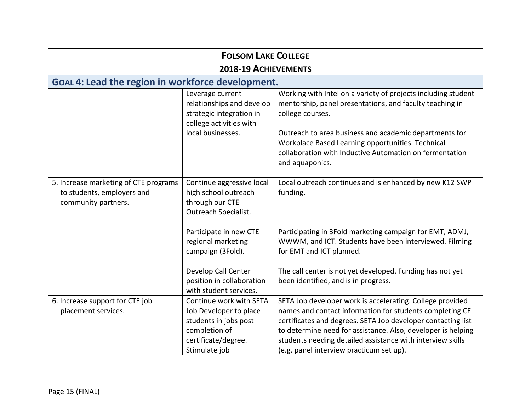| <b>FOLSOM LAKE COLLEGE</b>                                                                 |                                                                                                                                     |                                                                                                                                                                                                                                                                                                                                                                 |  |
|--------------------------------------------------------------------------------------------|-------------------------------------------------------------------------------------------------------------------------------------|-----------------------------------------------------------------------------------------------------------------------------------------------------------------------------------------------------------------------------------------------------------------------------------------------------------------------------------------------------------------|--|
| 2018-19 ACHIEVEMENTS                                                                       |                                                                                                                                     |                                                                                                                                                                                                                                                                                                                                                                 |  |
| GOAL 4: Lead the region in workforce development.                                          |                                                                                                                                     |                                                                                                                                                                                                                                                                                                                                                                 |  |
|                                                                                            | Leverage current<br>relationships and develop<br>strategic integration in<br>college activities with<br>local businesses.           | Working with Intel on a variety of projects including student<br>mentorship, panel presentations, and faculty teaching in<br>college courses.<br>Outreach to area business and academic departments for<br>Workplace Based Learning opportunities. Technical<br>collaboration with Inductive Automation on fermentation<br>and aquaponics.                      |  |
| 5. Increase marketing of CTE programs<br>to students, employers and<br>community partners. | Continue aggressive local<br>high school outreach<br>through our CTE<br>Outreach Specialist.                                        | Local outreach continues and is enhanced by new K12 SWP<br>funding.                                                                                                                                                                                                                                                                                             |  |
|                                                                                            | Participate in new CTE<br>regional marketing<br>campaign (3Fold).                                                                   | Participating in 3Fold marketing campaign for EMT, ADMJ,<br>WWWM, and ICT. Students have been interviewed. Filming<br>for EMT and ICT planned.                                                                                                                                                                                                                  |  |
|                                                                                            | Develop Call Center<br>position in collaboration<br>with student services.                                                          | The call center is not yet developed. Funding has not yet<br>been identified, and is in progress.                                                                                                                                                                                                                                                               |  |
| 6. Increase support for CTE job<br>placement services.                                     | Continue work with SETA<br>Job Developer to place<br>students in jobs post<br>completion of<br>certificate/degree.<br>Stimulate job | SETA Job developer work is accelerating. College provided<br>names and contact information for students completing CE<br>certificates and degrees. SETA Job developer contacting list<br>to determine need for assistance. Also, developer is helping<br>students needing detailed assistance with interview skills<br>(e.g. panel interview practicum set up). |  |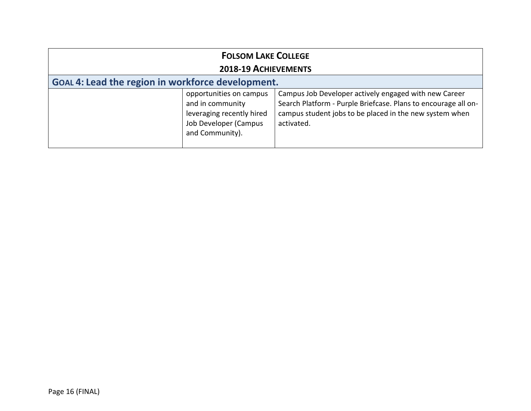| <b>FOLSOM LAKE COLLEGE</b><br>2018-19 ACHIEVEMENTS |                                                                                                                      |                                                                                                                                                                                                  |  |
|----------------------------------------------------|----------------------------------------------------------------------------------------------------------------------|--------------------------------------------------------------------------------------------------------------------------------------------------------------------------------------------------|--|
| GOAL 4: Lead the region in workforce development.  |                                                                                                                      |                                                                                                                                                                                                  |  |
|                                                    | opportunities on campus<br>and in community<br>leveraging recently hired<br>Job Developer (Campus<br>and Community). | Campus Job Developer actively engaged with new Career<br>Search Platform - Purple Briefcase. Plans to encourage all on-<br>campus student jobs to be placed in the new system when<br>activated. |  |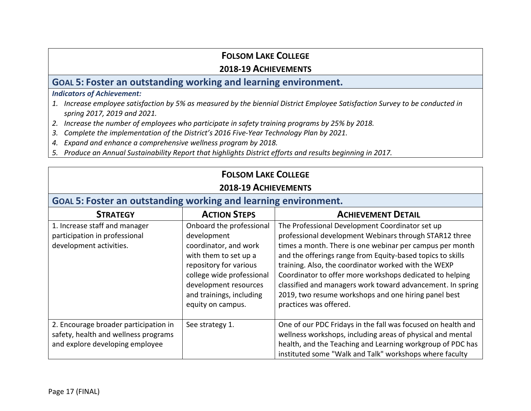#### **2018-19 ACHIEVEMENTS**

# **GOAL 5: Foster an outstanding working and learning environment.**

#### *Indicators of Achievement:*

- *1. Increase employee satisfaction by 5% as measured by the biennial District Employee Satisfaction Survey to be conducted in spring 2017, 2019 and 2021.*
- *2. Increase the number of employees who participate in safety training programs by 25% by 2018.*
- *3. Complete the implementation of the District's 2016 Five-Year Technology Plan by 2021.*
- *4. Expand and enhance a comprehensive wellness program by 2018.*
- *5. Produce an Annual Sustainability Report that highlights District efforts and results beginning in 2017.*

# **FOLSOM LAKE COLLEGE**

#### **2018-19 ACHIEVEMENTS**

#### **GOAL 5: Foster an outstanding working and learning environment.**

| <b>STRATEGY</b>                       | <b>ACTION STEPS</b>       | <b>ACHIEVEMENT DETAIL</b>                                    |
|---------------------------------------|---------------------------|--------------------------------------------------------------|
| 1. Increase staff and manager         | Onboard the professional  | The Professional Development Coordinator set up              |
| participation in professional         | development               | professional development Webinars through STAR12 three       |
| development activities.               | coordinator, and work     | times a month. There is one webinar per campus per month     |
|                                       | with them to set up a     | and the offerings range from Equity-based topics to skills   |
|                                       | repository for various    | training. Also, the coordinator worked with the WEXP         |
|                                       | college wide professional | Coordinator to offer more workshops dedicated to helping     |
|                                       | development resources     | classified and managers work toward advancement. In spring   |
|                                       | and trainings, including  | 2019, two resume workshops and one hiring panel best         |
|                                       | equity on campus.         | practices was offered.                                       |
|                                       |                           |                                                              |
| 2. Encourage broader participation in | See strategy 1.           | One of our PDC Fridays in the fall was focused on health and |
| safety, health and wellness programs  |                           | wellness workshops, including areas of physical and mental   |
| and explore developing employee       |                           | health, and the Teaching and Learning workgroup of PDC has   |
|                                       |                           | instituted some "Walk and Talk" workshops where faculty      |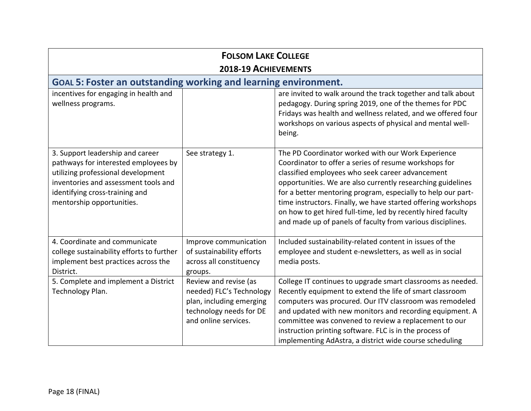| <b>FOLSOM LAKE COLLEGE</b><br>2018-19 ACHIEVEMENTS                                                                                                                                                                    |                                                                                                                                  |                                                                                                                                                                                                                                                                                                                                                                                                                                                                                               |  |
|-----------------------------------------------------------------------------------------------------------------------------------------------------------------------------------------------------------------------|----------------------------------------------------------------------------------------------------------------------------------|-----------------------------------------------------------------------------------------------------------------------------------------------------------------------------------------------------------------------------------------------------------------------------------------------------------------------------------------------------------------------------------------------------------------------------------------------------------------------------------------------|--|
| <b>GOAL 5: Foster an outstanding working and learning environment.</b>                                                                                                                                                |                                                                                                                                  |                                                                                                                                                                                                                                                                                                                                                                                                                                                                                               |  |
| incentives for engaging in health and<br>wellness programs.                                                                                                                                                           |                                                                                                                                  | are invited to walk around the track together and talk about<br>pedagogy. During spring 2019, one of the themes for PDC<br>Fridays was health and wellness related, and we offered four<br>workshops on various aspects of physical and mental well-<br>being.                                                                                                                                                                                                                                |  |
| 3. Support leadership and career<br>pathways for interested employees by<br>utilizing professional development<br>inventories and assessment tools and<br>identifying cross-training and<br>mentorship opportunities. | See strategy 1.                                                                                                                  | The PD Coordinator worked with our Work Experience<br>Coordinator to offer a series of resume workshops for<br>classified employees who seek career advancement<br>opportunities. We are also currently researching guidelines<br>for a better mentoring program, especially to help our part-<br>time instructors. Finally, we have started offering workshops<br>on how to get hired full-time, led by recently hired faculty<br>and made up of panels of faculty from various disciplines. |  |
| 4. Coordinate and communicate<br>college sustainability efforts to further<br>implement best practices across the<br>District.                                                                                        | Improve communication<br>of sustainability efforts<br>across all constituency<br>groups.                                         | Included sustainability-related content in issues of the<br>employee and student e-newsletters, as well as in social<br>media posts.                                                                                                                                                                                                                                                                                                                                                          |  |
| 5. Complete and implement a District<br>Technology Plan.                                                                                                                                                              | Review and revise (as<br>needed) FLC's Technology<br>plan, including emerging<br>technology needs for DE<br>and online services. | College IT continues to upgrade smart classrooms as needed.<br>Recently equipment to extend the life of smart classroom<br>computers was procured. Our ITV classroom was remodeled<br>and updated with new monitors and recording equipment. A<br>committee was convened to review a replacement to our<br>instruction printing software. FLC is in the process of<br>implementing AdAstra, a district wide course scheduling                                                                 |  |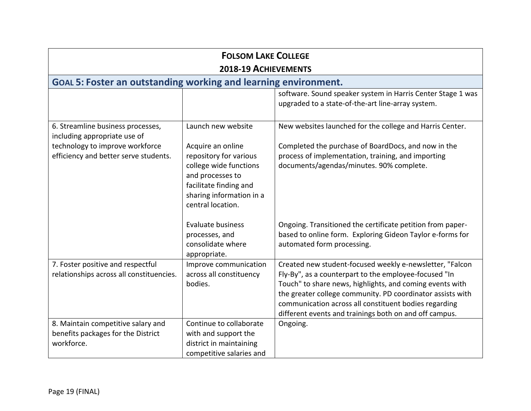| <b>FOLSOM LAKE COLLEGE</b><br>2018-19 ACHIEVEMENTS<br><b>GOAL 5: Foster an outstanding working and learning environment.</b> |                                                                                                                                                 |                                                                                                                                                                                                                                                                                                                                                                |
|------------------------------------------------------------------------------------------------------------------------------|-------------------------------------------------------------------------------------------------------------------------------------------------|----------------------------------------------------------------------------------------------------------------------------------------------------------------------------------------------------------------------------------------------------------------------------------------------------------------------------------------------------------------|
|                                                                                                                              |                                                                                                                                                 |                                                                                                                                                                                                                                                                                                                                                                |
| 6. Streamline business processes,<br>including appropriate use of<br>technology to improve workforce                         | Launch new website<br>Acquire an online                                                                                                         | New websites launched for the college and Harris Center.<br>Completed the purchase of BoardDocs, and now in the                                                                                                                                                                                                                                                |
| efficiency and better serve students.                                                                                        | repository for various<br>college wide functions<br>and processes to<br>facilitate finding and<br>sharing information in a<br>central location. | process of implementation, training, and importing<br>documents/agendas/minutes. 90% complete.                                                                                                                                                                                                                                                                 |
|                                                                                                                              | Evaluate business<br>processes, and<br>consolidate where<br>appropriate.                                                                        | Ongoing. Transitioned the certificate petition from paper-<br>based to online form. Exploring Gideon Taylor e-forms for<br>automated form processing.                                                                                                                                                                                                          |
| 7. Foster positive and respectful<br>relationships across all constituencies.                                                | Improve communication<br>across all constituency<br>bodies.                                                                                     | Created new student-focused weekly e-newsletter, "Falcon<br>Fly-By", as a counterpart to the employee-focused "In<br>Touch" to share news, highlights, and coming events with<br>the greater college community. PD coordinator assists with<br>communication across all constituent bodies regarding<br>different events and trainings both on and off campus. |
| 8. Maintain competitive salary and<br>benefits packages for the District<br>workforce.                                       | Continue to collaborate<br>with and support the<br>district in maintaining<br>competitive salaries and                                          | Ongoing.                                                                                                                                                                                                                                                                                                                                                       |